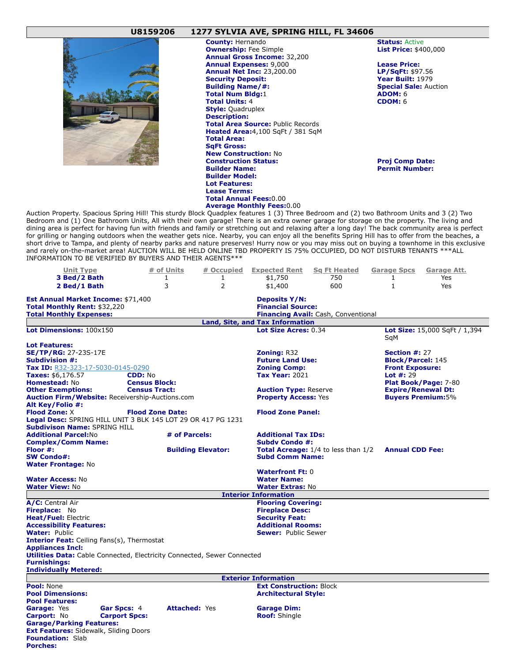## **U8159206 1277 SYLVIA AVE, SPRING HILL, FL 34606**



**County:** Hernando **Status: Active County: Hernando Status: Active County: Price: \$400,000 Ownership:** Fee Simple **Annual Gross Income:** 32,200 **Annual Expenses:** 9,000 **Lease Price: Annual Net Inc: 23,200.00 Security Deposit: Year Built:** 1979<br> **Building Name/#: Year Built:** 1979 **Total Num Bldg:1 ADOM:** 6<br> **ADOM:** 6<br> **Total Units:** 4 **Total Units: 4 Style:** Quadruplex **Description: Total Area Source:** Public Records **Heated Area:**4,100 SqFt / 381 SqM **Total Area: SqFt Gross: New Construction:** No **Construction Status: Proj Comp Date: Builder Name: Permit Number: Builder Model: Lot Features: Lease Terms: Total Annual Fees:**0.00 **Average Monthly Fees:**0.00

**Special Sale: Auction** 

Auction Property. Spacious Spring Hill! This sturdy Block Quadplex features 1 (3) Three Bedroom and (2) two Bathroom Units and 3 (2) Two Bedroom and (1) One Bathroom Units, All with their own garage! There is an extra owner garage for storage on the property. The living and dining area is perfect for having fun with friends and family or stretching out and relaxing after a long day! The back community area is perfect for grilling or hanging outdoors when the weather gets nice. Nearby, you can enjoy all the benefits Spring Hill has to offer from the beaches, a short drive to Tampa, and plenty of nearby parks and nature preserves! Hurry now or you may miss out on buying a townhome in this exclusive and rarely on-the-market area! AUCTION WILL BE HELD ONLINE TBD PROPERTY IS 75% OCCUPIED, DO NOT DISTURB TENANTS \*\*\*ALL INFORMATION TO BE VERIFIED BY BUYERS AND THEIR AGENTS\*\*\*

| <b>Unit Type</b><br>3 Bed/2 Bath                                                                                                       |                                                        | # of Units<br>$\mathbf{1}$ | # Occupied<br>1                            | <b>Expected Rent</b><br>\$1,750 | <b>Sq Ft Heated</b><br>750 | <b>Garage Spcs</b><br>$\mathbf{1}$ | Garage Att.<br>Yes                                |  |
|----------------------------------------------------------------------------------------------------------------------------------------|--------------------------------------------------------|----------------------------|--------------------------------------------|---------------------------------|----------------------------|------------------------------------|---------------------------------------------------|--|
|                                                                                                                                        |                                                        |                            |                                            |                                 |                            |                                    |                                                   |  |
| 2 Bed/1 Bath                                                                                                                           |                                                        | 3                          | $\overline{2}$                             | \$1,400                         | 600                        | $\mathbf{1}$                       | Yes                                               |  |
| <b>Est Annual Market Income: \$71,400</b><br><b>Deposits Y/N:</b>                                                                      |                                                        |                            |                                            |                                 |                            |                                    |                                                   |  |
| Total Monthly Rent: \$32,220                                                                                                           |                                                        |                            | <b>Financial Source:</b>                   |                                 |                            |                                    |                                                   |  |
| <b>Total Monthly Expenses:</b><br><b>Financing Avail:</b> Cash, Conventional                                                           |                                                        |                            |                                            |                                 |                            |                                    |                                                   |  |
| <b>Land, Site, and Tax Information</b>                                                                                                 |                                                        |                            |                                            |                                 |                            |                                    |                                                   |  |
| Lot Dimensions: 100x150                                                                                                                |                                                        |                            |                                            | Lot Size Acres: 0.34            |                            | SaM                                | Lot Size: 15,000 SqFt / 1,394                     |  |
| <b>Lot Features:</b>                                                                                                                   |                                                        |                            |                                            |                                 |                            |                                    |                                                   |  |
| <b>SE/TP/RG: 27-23S-17E</b>                                                                                                            |                                                        |                            |                                            |                                 | <b>Zoning: R32</b>         |                                    | Section #: 27                                     |  |
| <b>Subdivision #:</b>                                                                                                                  |                                                        |                            |                                            | <b>Future Land Use:</b>         |                            |                                    | <b>Block/Parcel: 145</b>                          |  |
| Tax ID: R32-323-17-5030-0145-0290                                                                                                      |                                                        |                            |                                            | <b>Zoning Comp:</b>             |                            | <b>Front Exposure:</b>             |                                                   |  |
| Taxes: \$6,176.57<br><b>CDD: No</b>                                                                                                    |                                                        |                            |                                            | <b>Tax Year: 2021</b>           |                            | <b>Lot #: 29</b>                   |                                                   |  |
| Homestead: No                                                                                                                          | <b>Census Block:</b>                                   |                            |                                            |                                 |                            |                                    | Plat Book/Page: 7-80<br><b>Expire/Renewal Dt:</b> |  |
| <b>Census Tract:</b><br><b>Other Exemptions:</b>                                                                                       |                                                        |                            |                                            | <b>Auction Type: Reserve</b>    |                            |                                    |                                                   |  |
| <b>Auction Firm/Website: Receivership-Auctions.com</b><br><b>Buyers Premium: 5%</b><br><b>Property Access: Yes</b><br>Alt Key/Folio #: |                                                        |                            |                                            |                                 |                            |                                    |                                                   |  |
| <b>Flood Zone: X</b><br><b>Flood Zone Date:</b>                                                                                        |                                                        |                            |                                            |                                 | <b>Flood Zone Panel:</b>   |                                    |                                                   |  |
| Legal Desc: SPRING HILL UNIT 3 BLK 145 LOT 29 OR 417 PG 1231                                                                           |                                                        |                            |                                            |                                 |                            |                                    |                                                   |  |
| <b>Subdivison Name: SPRING HILL</b>                                                                                                    |                                                        |                            |                                            |                                 |                            |                                    |                                                   |  |
| <b>Additional Parcel:No</b><br># of Parcels:                                                                                           |                                                        |                            | <b>Additional Tax IDs:</b>                 |                                 |                            |                                    |                                                   |  |
| <b>Complex/Comm Name:</b>                                                                                                              |                                                        |                            | <b>Subdy Condo #:</b>                      |                                 |                            |                                    |                                                   |  |
| Floor #:                                                                                                                               | <b>Building Elevator:</b>                              |                            | <b>Total Acreage:</b> 1/4 to less than 1/2 |                                 | <b>Annual CDD Fee:</b>     |                                    |                                                   |  |
| <b>SW Condo#:</b>                                                                                                                      |                                                        |                            |                                            | <b>Subd Comm Name:</b>          |                            |                                    |                                                   |  |
| <b>Water Frontage: No</b>                                                                                                              |                                                        |                            |                                            |                                 |                            |                                    |                                                   |  |
|                                                                                                                                        |                                                        |                            |                                            | <b>Waterfront Ft: 0</b>         |                            |                                    |                                                   |  |
| <b>Water Access: No</b>                                                                                                                |                                                        |                            | <b>Water Name:</b>                         |                                 |                            |                                    |                                                   |  |
| <b>Water View: No</b>                                                                                                                  |                                                        |                            | <b>Water Extras: No</b>                    |                                 |                            |                                    |                                                   |  |
| <b>Interior Information</b>                                                                                                            |                                                        |                            |                                            |                                 |                            |                                    |                                                   |  |
| A/C: Central Air                                                                                                                       |                                                        |                            |                                            | <b>Flooring Covering:</b>       |                            |                                    |                                                   |  |
| Fireplace: No                                                                                                                          |                                                        |                            | <b>Fireplace Desc:</b>                     |                                 |                            |                                    |                                                   |  |
| <b>Heat/Fuel: Electric</b>                                                                                                             |                                                        |                            | <b>Security Feat:</b>                      |                                 |                            |                                    |                                                   |  |
| <b>Accessibility Features:</b>                                                                                                         |                                                        |                            | <b>Additional Rooms:</b>                   |                                 |                            |                                    |                                                   |  |
| <b>Water: Public</b>                                                                                                                   |                                                        |                            |                                            | <b>Sewer: Public Sewer</b>      |                            |                                    |                                                   |  |
| <b>Interior Feat:</b> Ceiling Fans(s), Thermostat                                                                                      |                                                        |                            |                                            |                                 |                            |                                    |                                                   |  |
| <b>Appliances Incl:</b>                                                                                                                |                                                        |                            |                                            |                                 |                            |                                    |                                                   |  |
| <b>Utilities Data:</b> Cable Connected, Electricity Connected, Sewer Connected                                                         |                                                        |                            |                                            |                                 |                            |                                    |                                                   |  |
| <b>Furnishings:</b>                                                                                                                    |                                                        |                            |                                            |                                 |                            |                                    |                                                   |  |
| <b>Individually Metered:</b>                                                                                                           |                                                        |                            |                                            |                                 |                            |                                    |                                                   |  |
| <b>Exterior Information</b><br><b>Ext Construction: Block</b>                                                                          |                                                        |                            |                                            |                                 |                            |                                    |                                                   |  |
| Pool: None                                                                                                                             | <b>Pool Dimensions:</b><br><b>Architectural Style:</b> |                            |                                            |                                 |                            |                                    |                                                   |  |
|                                                                                                                                        |                                                        |                            |                                            |                                 |                            |                                    |                                                   |  |
| <b>Pool Features:</b>                                                                                                                  |                                                        |                            |                                            |                                 |                            |                                    |                                                   |  |
| Garage: Yes                                                                                                                            | Gar Spcs: 4                                            | <b>Attached: Yes</b>       |                                            | <b>Garage Dim:</b>              |                            |                                    |                                                   |  |
| <b>Carport: No</b>                                                                                                                     | <b>Carport Spcs:</b>                                   |                            | <b>Roof:</b> Shingle                       |                                 |                            |                                    |                                                   |  |
| <b>Garage/Parking Features:</b><br><b>Ext Features:</b> Sidewalk, Sliding Doors                                                        |                                                        |                            |                                            |                                 |                            |                                    |                                                   |  |
| <b>Foundation: Slab</b>                                                                                                                |                                                        |                            |                                            |                                 |                            |                                    |                                                   |  |
| <b>Porches:</b>                                                                                                                        |                                                        |                            |                                            |                                 |                            |                                    |                                                   |  |
|                                                                                                                                        |                                                        |                            |                                            |                                 |                            |                                    |                                                   |  |